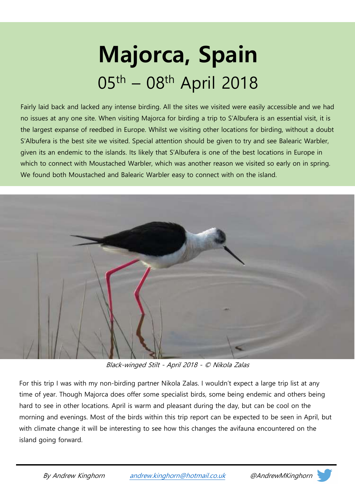# Majorca, Spain 05th – 08th April 2018

Fairly laid back and lacked any intense birding. All the sites we visited were easily accessible and we had no issues at any one site. When visiting Majorca for birding a trip to S'Albufera is an essential visit, it is the largest expanse of reedbed in Europe. Whilst we visiting other locations for birding, without a doubt S'Albufera is the best site we visited. Special attention should be given to try and see Balearic Warbler, given its an endemic to the islands. Its likely that S'Albufera is one of the best locations in Europe in which to connect with Moustached Warbler, which was another reason we visited so early on in spring. We found both Moustached and Balearic Warbler easy to connect with on the island.



Black-winged Stilt - April 2018 - © Nikola Zalas

For this trip I was with my non-birding partner Nikola Zalas. I wouldn't expect a large trip list at any time of year. Though Majorca does offer some specialist birds, some being endemic and others being hard to see in other locations. April is warm and pleasant during the day, but can be cool on the morning and evenings. Most of the birds within this trip report can be expected to be seen in April, but with climate change it will be interesting to see how this changes the avifauna encountered on the island going forward.

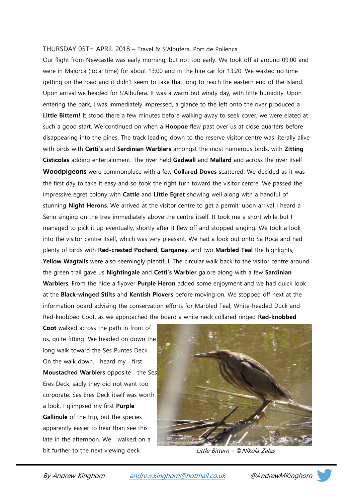#### THURSDAY 05TH APRIL 2018 – Travel & S'Albufera, Port de Pollenca

Our flight from Newcastle was early morning, but not too early. We took off at around 09:00 and were in Majorca (local time) for about 13:00 and in the hire car for 13:20. We wasted no time getting on the road and it didn't seem to take that long to reach the eastern end of the Island. Upon arrival we headed for S'Albufera. It was a warm but windy day, with little humidity. Upon entering the park, I was immediately impressed, a glance to the left onto the river produced a Little Bittern! It stood there a few minutes before walking away to seek cover, we were elated at such a good start. We continued on when a **Hoopoe** flew past over us at close quarters before disappearing into the pines. The track leading down to the reserve visitor centre was literally alive with birds with Cetti's and Sardinian Warblers amongst the most numerous birds, with Zitting Cisticolas adding entertainment. The river held Gadwall and Mallard and across the river itself Woodpigeons were commonplace with a few Collared Doves scattered. We decided as it was the first day to take it easy and so took the right turn toward the visitor centre. We passed the impressive egret colony with Cattle and Little Egret showing well along with a handful of stunning **Night Herons**. We arrived at the visitor centre to get a permit; upon arrival I heard a Serin singing on the tree immediately above the centre itself. It took me a short while but I managed to pick it up eventually, shortly after it flew off and stopped singing. We took a look into the visitor centre itself, which was very pleasant. We had a look out onto Sa Roca and had plenty of birds with Red-crested Pochard, Garganey, and two Marbled Teal the highlights, Yellow Wagtails were also seemingly plentiful. The circular walk back to the visitor centre around the green trail gave us Nightingale and Cetti's Warbler galore along with a few Sardinian Warblers. From the hide a flyover Purple Heron added some enjoyment and we had quick look at the Black-winged Stilts and Kentish Plovers before moving on. We stopped off next at the information board advising the conservation efforts for Marbled Teal, White-headed Duck and Red-knobbed Coot, as we approached the board a white neck collared ringed Red-knobbed

Coot walked across the path in front of us, quite fitting! We headed on down the long walk toward the Ses Puntes Deck. On the walk down, I heard my first Moustached Warblers opposite the Ses Eres Deck, sadly they did not want too corporate. Ses Eres Deck itself was worth a look, I glimpsed my first **Purple** Gallinule of the trip, but the species apparently easier to hear than see this late in the afternoon. We walked on a bit further to the next viewing deck Little Bittern – © Nikola Zalas



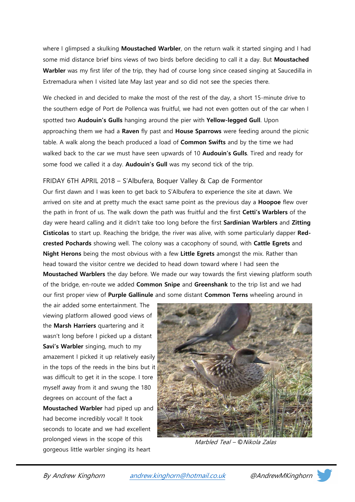where I glimpsed a skulking **Moustached Warbler**, on the return walk it started singing and I had some mid distance brief bins views of two birds before deciding to call it a day. But Moustached Warbler was my first lifer of the trip, they had of course long since ceased singing at Saucedilla in Extremadura when I visited late May last year and so did not see the species there.

We checked in and decided to make the most of the rest of the day, a short 15-minute drive to the southern edge of Port de Pollenca was fruitful, we had not even gotten out of the car when I spotted two **Audouin's Gulls** hanging around the pier with Yellow-legged Gull. Upon approaching them we had a Raven fly past and House Sparrows were feeding around the picnic table. A walk along the beach produced a load of **Common Swifts** and by the time we had walked back to the car we must have seen upwards of 10 Audouin's Gulls. Tired and ready for some food we called it a day. Audouin's Gull was my second tick of the trip.

## FRIDAY 6TH APRIL 2018 – S'Albufera, Boquer Valley & Cap de Formentor

Our first dawn and I was keen to get back to S'Albufera to experience the site at dawn. We arrived on site and at pretty much the exact same point as the previous day a **Hoopoe** flew over the path in front of us. The walk down the path was fruitful and the first Cetti's Warblers of the day were heard calling and it didn't take too long before the first Sardinian Warblers and Zitting Cisticolas to start up. Reaching the bridge, the river was alive, with some particularly dapper Redcrested Pochards showing well. The colony was a cacophony of sound, with Cattle Egrets and Night Herons being the most obvious with a few Little Egrets amongst the mix. Rather than head toward the visitor centre we decided to head down toward where I had seen the Moustached Warblers the day before. We made our way towards the first viewing platform south of the bridge, en-route we added **Common Snipe** and **Greenshank** to the trip list and we had our first proper view of Purple Gallinule and some distant Common Terns wheeling around in

the air added some entertainment. The viewing platform allowed good views of the Marsh Harriers quartering and it wasn't long before I picked up a distant Savi's Warbler singing, much to my amazement I picked it up relatively easily in the tops of the reeds in the bins but it was difficult to get it in the scope. I tore myself away from it and swung the 180 degrees on account of the fact a Moustached Warbler had piped up and had become incredibly vocal! It took seconds to locate and we had excellent prolonged views in the scope of this gorgeous little warbler singing its heart



Marbled Teal – ©Nikola Zalas

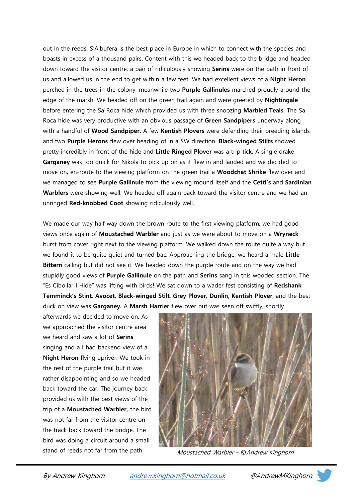out in the reeds. S'Albufera is the best place in Europe in which to connect with the species and boasts in excess of a thousand pairs. Content with this we headed back to the bridge and headed down toward the visitor centre, a pair of ridiculously showing **Serins** were on the path in front of us and allowed us in the end to get within a few feet. We had excellent views of a Night Heron perched in the trees in the colony, meanwhile two **Purple Gallinules** marched proudly around the edge of the marsh. We headed off on the green trail again and were greeted by **Nightingale** before entering the Sa Roca hide which provided us with three snoozing Marbled Teals. The Sa Roca hide was very productive with an obvious passage of Green Sandpipers underway along with a handful of Wood Sandpiper. A few Kentish Plovers were defending their breeding islands and two Purple Herons flew over heading of in a SW direction. Black-winged Stilts showed pretty incredibly in front of the hide and Little Ringed Plover was a trip tick. A single drake Garganey was too quick for Nikola to pick up on as it flew in and landed and we decided to move on, en-route to the viewing platform on the green trail a Woodchat Shrike flew over and we managed to see Purple Gallinule from the viewing mound itself and the Cetti's and Sardinian Warblers were showing well. We headed off again back toward the visitor centre and we had an unringed Red-knobbed Coot showing ridiculously well.

We made our way half way down the brown route to the first viewing platform, we had good views once again of Moustached Warbler and just as we were about to move on a Wryneck burst from cover right next to the viewing platform. We walked down the route quite a way but we found it to be quite quiet and turned bac. Approaching the bridge, we heard a male Little Bittern calling but did not see it. We headed down the purple route and on the way we had stupidly good views of **Purple Gallinule** on the path and **Serins** sang in this wooded section. The "Es Cibollar I Hide" was lifting with birds! We sat down to a wader fest consisting of Redshank, Temminck's Stint, Avocet, Black-winged Stilt, Grey Plover, Dunlin, Kentish Plover, and the best duck on view was Garganey. A Marsh Harrier flew over but was seen off swiftly, shortly

afterwards we decided to move on. As we approached the visitor centre area we heard and saw a lot of **Serins** singing and a I had backend view of a Night Heron flying upriver. We took in the rest of the purple trail but it was rather disappointing and so we headed back toward the car. The journey back provided us with the best views of the trip of a Moustached Warbler, the bird was not far from the visitor centre on the track back toward the bridge. The bird was doing a circuit around a small



stand of reeds not far from the path. Moustached Warbler – © Andrew Kinghorn

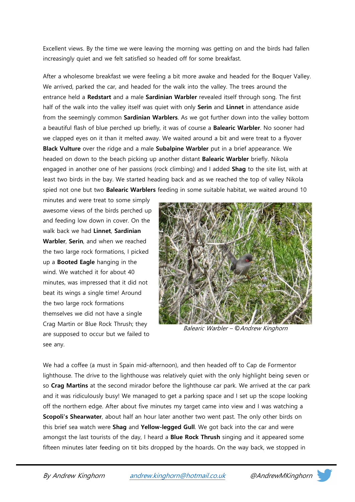Excellent views. By the time we were leaving the morning was getting on and the birds had fallen increasingly quiet and we felt satisfied so headed off for some breakfast.

After a wholesome breakfast we were feeling a bit more awake and headed for the Boquer Valley. We arrived, parked the car, and headed for the walk into the valley. The trees around the entrance held a Redstart and a male Sardinian Warbler revealed itself through song. The first half of the walk into the valley itself was quiet with only Serin and Linnet in attendance aside from the seemingly common **Sardinian Warblers**. As we got further down into the valley bottom a beautiful flash of blue perched up briefly, it was of course a Balearic Warbler. No sooner had we clapped eyes on it than it melted away. We waited around a bit and were treat to a flyover **Black Vulture** over the ridge and a male **Subalpine Warbler** put in a brief appearance. We headed on down to the beach picking up another distant **Balearic Warbler** briefly. Nikola engaged in another one of her passions (rock climbing) and I added **Shag** to the site list, with at least two birds in the bay. We started heading back and as we reached the top of valley Nikola spied not one but two **Balearic Warblers** feeding in some suitable habitat, we waited around 10

minutes and were treat to some simply awesome views of the birds perched up and feeding low down in cover. On the walk back we had Linnet, Sardinian Warbler, Serin, and when we reached the two large rock formations, I picked up a Booted Eagle hanging in the wind. We watched it for about 40 minutes, was impressed that it did not beat its wings a single time! Around the two large rock formations themselves we did not have a single Crag Martin or Blue Rock Thrush; they are supposed to occur but we failed to see any.



Balearic Warbler – ©Andrew Kinghorn

We had a coffee (a must in Spain mid-afternoon), and then headed off to Cap de Formentor lighthouse. The drive to the lighthouse was relatively quiet with the only highlight being seven or so Crag Martins at the second mirador before the lighthouse car park. We arrived at the car park and it was ridiculously busy! We managed to get a parking space and I set up the scope looking off the northern edge. After about five minutes my target came into view and I was watching a Scopoli's Shearwater, about half an hour later another two went past. The only other birds on this brief sea watch were Shag and Yellow-legged Gull. We got back into the car and were amongst the last tourists of the day, I heard a **Blue Rock Thrush** singing and it appeared some fifteen minutes later feeding on tit bits dropped by the hoards. On the way back, we stopped in

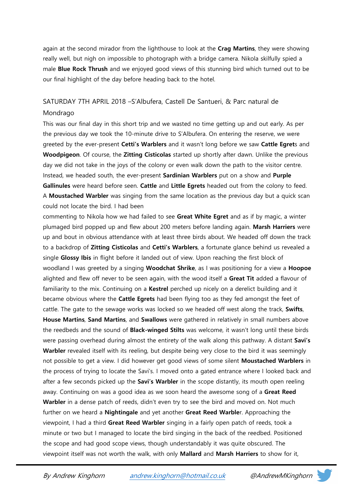again at the second mirador from the lighthouse to look at the Crag Martins, they were showing really well, but nigh on impossible to photograph with a bridge camera. Nikola skilfully spied a male **Blue Rock Thrush** and we enjoyed good views of this stunning bird which turned out to be our final highlight of the day before heading back to the hotel.

# SATURDAY 7TH APRIL 2018 –S'Albufera, Castell De Santueri, & Parc natural de Mondrago

This was our final day in this short trip and we wasted no time getting up and out early. As per the previous day we took the 10-minute drive to S'Albufera. On entering the reserve, we were greeted by the ever-present Cetti's Warblers and it wasn't long before we saw Cattle Egrets and Woodpigeon. Of course, the Zitting Cisticolas started up shortly after dawn. Unlike the previous day we did not take in the joys of the colony or even walk down the path to the visitor centre. Instead, we headed south, the ever-present Sardinian Warblers put on a show and Purple Gallinules were heard before seen. Cattle and Little Egrets headed out from the colony to feed. A **Moustached Warbler** was singing from the same location as the previous day but a quick scan could not locate the bird. I had been

commenting to Nikola how we had failed to see Great White Egret and as if by magic, a winter plumaged bird popped up and flew about 200 meters before landing again. Marsh Harriers were up and bout in obvious attendance with at least three birds about. We headed off down the track to a backdrop of **Zitting Cisticolas** and **Cetti's Warblers**, a fortunate glance behind us revealed a single Glossy Ibis in flight before it landed out of view. Upon reaching the first block of woodland I was greeted by a singing Woodchat Shrike, as I was positioning for a view a Hoopoe alighted and flew off never to be seen again, with the wood itself a Great Tit added a flavour of familiarity to the mix. Continuing on a Kestrel perched up nicely on a derelict building and it became obvious where the **Cattle Egrets** had been flying too as they fed amongst the feet of cattle. The gate to the sewage works was locked so we headed off west along the track, Swifts, House Martins, Sand Martins, and Swallows were gathered in relatively in small numbers above the reedbeds and the sound of **Black-winged Stilts** was welcome, it wasn't long until these birds were passing overhead during almost the entirety of the walk along this pathway. A distant Savi's Warbler revealed itself with its reeling, but despite being very close to the bird it was seemingly not possible to get a view. I did however get good views of some silent Moustached Warblers in the process of trying to locate the Savi's. I moved onto a gated entrance where I looked back and after a few seconds picked up the **Savi's Warbler** in the scope distantly, its mouth open reeling away. Continuing on was a good idea as we soon heard the awesome song of a Great Reed Warbler in a dense patch of reeds, didn't even try to see the bird and moved on. Not much further on we heard a Nightingale and yet another Great Reed Warbler. Approaching the viewpoint, I had a third Great Reed Warbler singing in a fairly open patch of reeds, took a minute or two but I managed to locate the bird singing in the back of the reedbed. Positioned the scope and had good scope views, though understandably it was quite obscured. The viewpoint itself was not worth the walk, with only Mallard and Marsh Harriers to show for it,

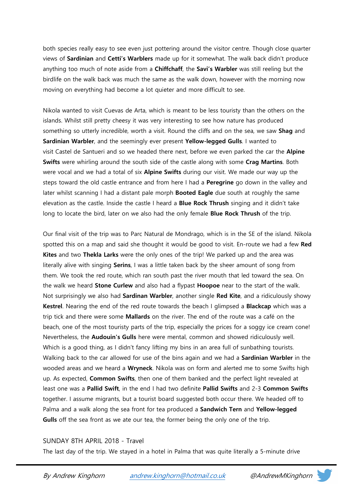both species really easy to see even just pottering around the visitor centre. Though close quarter views of Sardinian and Cetti's Warblers made up for it somewhat. The walk back didn't produce anything too much of note aside from a **Chiffchaff**, the **Savi's Warbler** was still reeling but the birdlife on the walk back was much the same as the walk down, however with the morning now moving on everything had become a lot quieter and more difficult to see.

Nikola wanted to visit Cuevas de Arta, which is meant to be less touristy than the others on the islands. Whilst still pretty cheesy it was very interesting to see how nature has produced something so utterly incredible, worth a visit. Round the cliffs and on the sea, we saw Shag and Sardinian Warbler, and the seemingly ever present Yellow-legged Gulls. I wanted to visit Castel de Santueri and so we headed there next, before we even parked the car the Alpine Swifts were whirling around the south side of the castle along with some Crag Martins. Both were vocal and we had a total of six Alpine Swifts during our visit. We made our way up the steps toward the old castle entrance and from here I had a **Peregrine** go down in the valley and later whilst scanning I had a distant pale morph **Booted Eagle** due south at roughly the same elevation as the castle. Inside the castle I heard a Blue Rock Thrush singing and it didn't take long to locate the bird, later on we also had the only female **Blue Rock Thrush** of the trip.

Our final visit of the trip was to Parc Natural de Mondrago, which is in the SE of the island. Nikola spotted this on a map and said she thought it would be good to visit. En-route we had a few Red Kites and two Thekla Larks were the only ones of the trip! We parked up and the area was literally alive with singing Serins, I was a little taken back by the sheer amount of song from them. We took the red route, which ran south past the river mouth that led toward the sea. On the walk we heard **Stone Curlew** and also had a flypast **Hoopoe** near to the start of the walk. Not surprisingly we also had **Sardinan Warbler**, another single Red Kite, and a ridiculously showy Kestrel. Nearing the end of the red route towards the beach I glimpsed a Blackcap which was a trip tick and there were some **Mallards** on the river. The end of the route was a café on the beach, one of the most touristy parts of the trip, especially the prices for a soggy ice cream cone! Nevertheless, the Audouin's Gulls here were mental, common and showed ridiculously well. Which is a good thing, as I didn't fancy lifting my bins in an area full of sunbathing tourists. Walking back to the car allowed for use of the bins again and we had a **Sardinian Warbler** in the wooded areas and we heard a Wryneck. Nikola was on form and alerted me to some Swifts high up. As expected, **Common Swifts**, then one of them banked and the perfect light revealed at least one was a Pallid Swift, in the end I had two definite Pallid Swifts and 2-3 Common Swifts together. I assume migrants, but a tourist board suggested both occur there. We headed off to Palma and a walk along the sea front for tea produced a Sandwich Tern and Yellow-legged Gulls off the sea front as we ate our tea, the former being the only one of the trip.

### SUNDAY 8TH APRIL 2018 - Travel

The last day of the trip. We stayed in a hotel in Palma that was quite literally a 5-minute drive

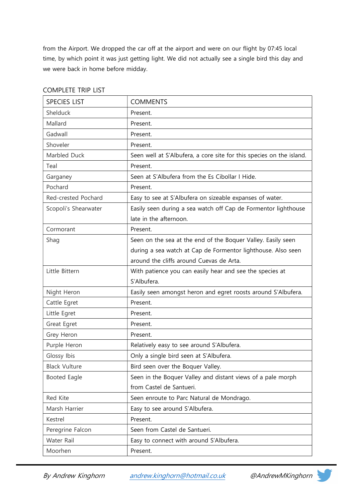from the Airport. We dropped the car off at the airport and were on our flight by 07:45 local time, by which point it was just getting light. We did not actually see a single bird this day and we were back in home before midday.

| <b>SPECIES LIST</b>  | <b>COMMENTS</b>                                                      |
|----------------------|----------------------------------------------------------------------|
| Shelduck             | Present.                                                             |
| Mallard              | Present.                                                             |
| Gadwall              | Present.                                                             |
| Shoveler             | Present.                                                             |
| Marbled Duck         | Seen well at S'Albufera, a core site for this species on the island. |
| Teal                 | Present.                                                             |
| Garganey             | Seen at S'Albufera from the Es Cibollar I Hide.                      |
| Pochard              | Present.                                                             |
| Red-crested Pochard  | Easy to see at S'Albufera on sizeable expanses of water.             |
| Scopoli's Shearwater | Easily seen during a sea watch off Cap de Formentor lighthouse       |
|                      | late in the afternoon.                                               |
| Cormorant            | Present.                                                             |
| Shag                 | Seen on the sea at the end of the Boquer Valley. Easily seen         |
|                      | during a sea watch at Cap de Formentor lighthouse. Also seen         |
|                      | around the cliffs around Cuevas de Arta.                             |
| Little Bittern       | With patience you can easily hear and see the species at             |
|                      | S'Albufera.                                                          |
| Night Heron          | Easily seen amongst heron and egret roosts around S'Albufera.        |
| Cattle Egret         | Present.                                                             |
| Little Egret         | Present.                                                             |
| Great Egret          | Present.                                                             |
| Grey Heron           | Present.                                                             |
| Purple Heron         | Relatively easy to see around S'Albufera.                            |
| Glossy Ibis          | Only a single bird seen at S'Albufera.                               |
| <b>Black Vulture</b> | Bird seen over the Boquer Valley.                                    |
| <b>Booted Eagle</b>  | Seen in the Boquer Valley and distant views of a pale morph          |
|                      | from Castel de Santueri.                                             |
| Red Kite             | Seen enroute to Parc Natural de Mondrago.                            |
| Marsh Harrier        | Easy to see around S'Albufera.                                       |
| Kestrel              | Present.                                                             |
| Peregrine Falcon     | Seen from Castel de Santueri.                                        |
| Water Rail           | Easy to connect with around S'Albufera.                              |
| Moorhen              | Present.                                                             |

## COMPLETE TRIP LIST

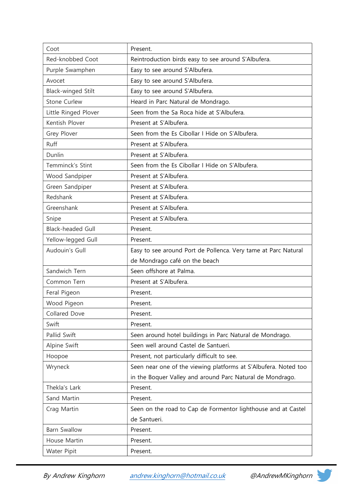| Coot                      | Present.                                                        |
|---------------------------|-----------------------------------------------------------------|
| Red-knobbed Coot          | Reintroduction birds easy to see around S'Albufera.             |
| Purple Swamphen           | Easy to see around S'Albufera.                                  |
| Avocet                    | Easy to see around S'Albufera.                                  |
| <b>Black-winged Stilt</b> | Easy to see around S'Albufera.                                  |
| <b>Stone Curlew</b>       | Heard in Parc Natural de Mondrago.                              |
| Little Ringed Plover      | Seen from the Sa Roca hide at S'Albufera.                       |
| Kentish Plover            | Present at S'Albufera.                                          |
| Grey Plover               | Seen from the Es Cibollar I Hide on S'Albufera.                 |
| Ruff                      | Present at S'Albufera.                                          |
| Dunlin                    | Present at S'Albufera.                                          |
| Temminck's Stint          | Seen from the Es Cibollar I Hide on S'Albufera.                 |
| Wood Sandpiper            | Present at S'Albufera.                                          |
| Green Sandpiper           | Present at S'Albufera.                                          |
| Redshank                  | Present at S'Albufera.                                          |
| Greenshank                | Present at S'Albufera.                                          |
| Snipe                     | Present at S'Albufera.                                          |
| <b>Black-headed Gull</b>  | Present.                                                        |
| Yellow-legged Gull        | Present.                                                        |
| Audouin's Gull            | Easy to see around Port de Pollenca. Very tame at Parc Natural  |
|                           | de Mondrago café on the beach                                   |
| Sandwich Tern             | Seen offshore at Palma.                                         |
| Common Tern               | Present at S'Albufera.                                          |
| Feral Pigeon              | Present.                                                        |
| Wood Pigeon               | Present.                                                        |
| Collared Dove             | Present.                                                        |
| Swift                     | Present.                                                        |
| Pallid Swift              | Seen around hotel buildings in Parc Natural de Mondrago.        |
| Alpine Swift              | Seen well around Castel de Santueri.                            |
| Hoopoe                    | Present, not particularly difficult to see.                     |
| Wryneck                   | Seen near one of the viewing platforms at S'Albufera. Noted too |
|                           | in the Boquer Valley and around Parc Natural de Mondrago.       |
| Thekla's Lark             | Present.                                                        |
| Sand Martin               | Present.                                                        |
| Crag Martin               | Seen on the road to Cap de Formentor lighthouse and at Castel   |
|                           | de Santueri.                                                    |
| <b>Barn Swallow</b>       | Present.                                                        |
| House Martin              | Present.                                                        |
| Water Pipit               | Present.                                                        |